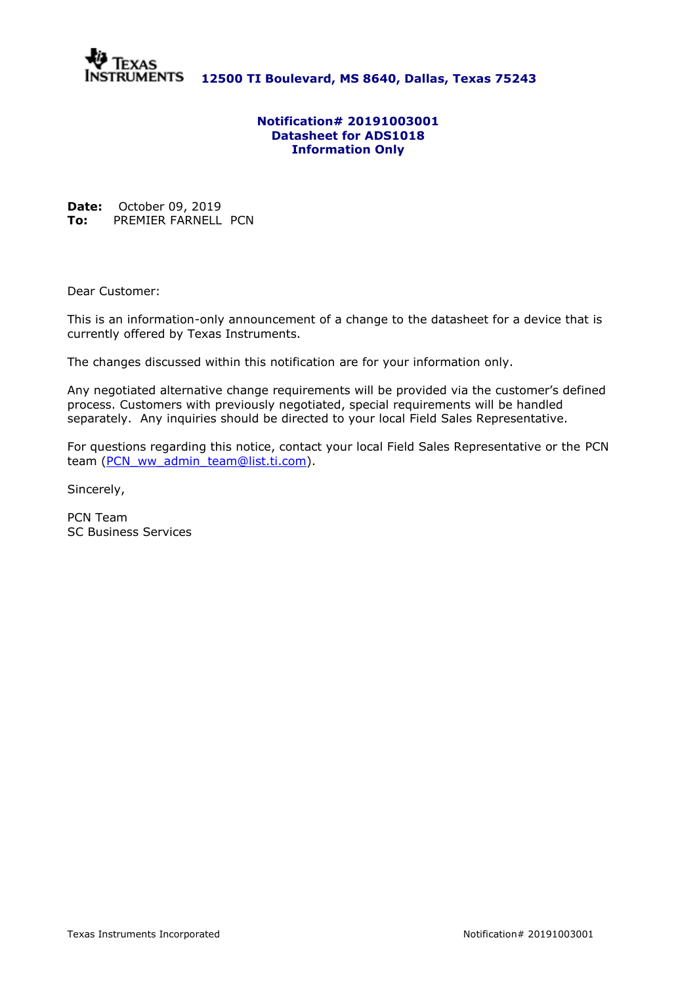

**12500 TI Boulevard, MS 8640, Dallas, Texas 75243**

### **Notification# 20191003001 Datasheet for ADS1018 Information Only**

**Date:** October 09, 2019 **To:** PREMIER FARNELL PCN

Dear Customer:

This is an information-only announcement of a change to the datasheet for a device that is currently offered by Texas Instruments.

The changes discussed within this notification are for your information only.

Any negotiated alternative change requirements will be provided via the customer's defined process. Customers with previously negotiated, special requirements will be handled separately. Any inquiries should be directed to your local Field Sales Representative.

For questions regarding this notice, contact your local Field Sales Representative or the PCN team [\(PCN\\_ww\\_admin\\_team@list.ti.com\)](mailto:PCN_ww_admin_team@list.ti.com).

Sincerely,

PCN Team SC Business Services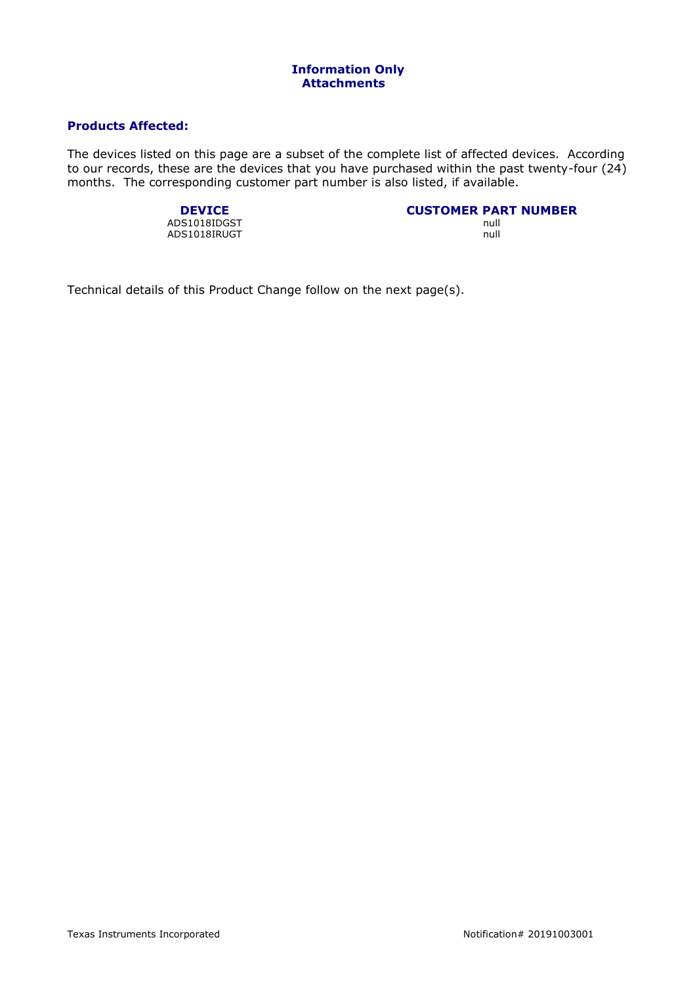## **Products Affected:**

The devices listed on this page are a subset of the complete list of affected devices. According to our records, these are the devices that you have purchased within the past twenty-four (24) months. The corresponding customer part number is also listed, if available.

ADS1018IDGST null<br>ADS1018IRUGT null and the matrix of the matrix of the matrix of the matrix of the matrix of the matrix of the ADS1018IRUGT

# **DEVICE**<br> **CUSTOMER PART NUMBER**<br> **CUSTOMER PART NUMBER**

Technical details of this Product Change follow on the next page(s).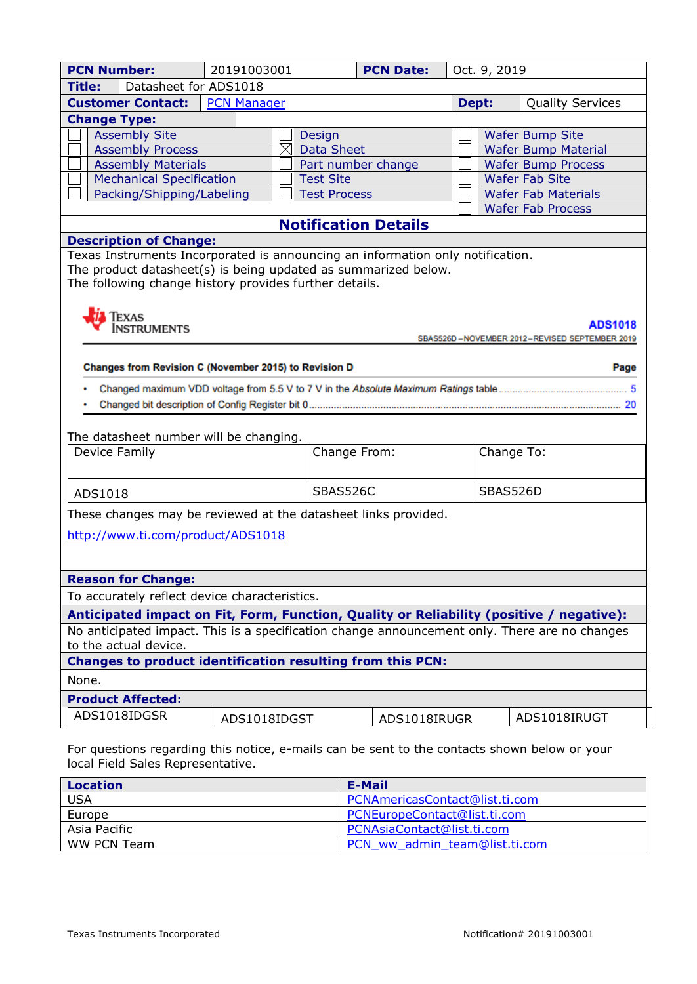| <b>PCN Number:</b>                                                                            | 20191003001        |                     | <b>PCN Date:</b>   | Oct. 9, 2019 |            |                                               |  |
|-----------------------------------------------------------------------------------------------|--------------------|---------------------|--------------------|--------------|------------|-----------------------------------------------|--|
| Datasheet for ADS1018<br><b>Title:</b>                                                        |                    |                     |                    |              |            |                                               |  |
| <b>Customer Contact:</b>                                                                      | <b>PCN Manager</b> |                     |                    |              | Dept:      | <b>Quality Services</b>                       |  |
| <b>Change Type:</b>                                                                           |                    |                     |                    |              |            |                                               |  |
| <b>Assembly Site</b>                                                                          |                    | Design              |                    |              |            | <b>Wafer Bump Site</b>                        |  |
| <b>Assembly Process</b>                                                                       | ⋉                  | <b>Data Sheet</b>   |                    |              |            | <b>Wafer Bump Material</b>                    |  |
| <b>Assembly Materials</b>                                                                     |                    |                     | Part number change |              |            | <b>Wafer Bump Process</b>                     |  |
| <b>Mechanical Specification</b>                                                               |                    | <b>Test Site</b>    |                    |              |            | <b>Wafer Fab Site</b>                         |  |
| Packing/Shipping/Labeling                                                                     |                    | <b>Test Process</b> |                    |              |            | <b>Wafer Fab Materials</b>                    |  |
|                                                                                               |                    |                     |                    |              |            | <b>Wafer Fab Process</b>                      |  |
| <b>Notification Details</b><br><b>Description of Change:</b>                                  |                    |                     |                    |              |            |                                               |  |
| Texas Instruments Incorporated is announcing an information only notification.                |                    |                     |                    |              |            |                                               |  |
| The product datasheet(s) is being updated as summarized below.                                |                    |                     |                    |              |            |                                               |  |
| The following change history provides further details.                                        |                    |                     |                    |              |            |                                               |  |
|                                                                                               |                    |                     |                    |              |            |                                               |  |
|                                                                                               |                    |                     |                    |              |            |                                               |  |
| EXAS<br>NSTRUMENTS<br>ADS1018                                                                 |                    |                     |                    |              |            |                                               |  |
|                                                                                               |                    |                     |                    |              |            | SBAS526D-NOVEMBER 2012-REVISED SEPTEMBER 2019 |  |
| Changes from Revision C (November 2015) to Revision D                                         |                    |                     |                    |              |            | Page                                          |  |
|                                                                                               |                    |                     |                    |              |            |                                               |  |
|                                                                                               |                    |                     |                    |              |            |                                               |  |
|                                                                                               |                    |                     |                    |              |            |                                               |  |
|                                                                                               |                    |                     |                    |              |            |                                               |  |
| The datasheet number will be changing.                                                        |                    |                     |                    |              |            |                                               |  |
| Device Family                                                                                 |                    |                     | Change From:       |              | Change To: |                                               |  |
|                                                                                               |                    |                     |                    |              |            |                                               |  |
| ADS1018                                                                                       |                    | SBAS526C            |                    |              | SBAS526D   |                                               |  |
| These changes may be reviewed at the datasheet links provided.                                |                    |                     |                    |              |            |                                               |  |
|                                                                                               |                    |                     |                    |              |            |                                               |  |
| http://www.ti.com/product/ADS1018                                                             |                    |                     |                    |              |            |                                               |  |
|                                                                                               |                    |                     |                    |              |            |                                               |  |
| <b>Reason for Change:</b>                                                                     |                    |                     |                    |              |            |                                               |  |
| To accurately reflect device characteristics.                                                 |                    |                     |                    |              |            |                                               |  |
| Anticipated impact on Fit, Form, Function, Quality or Reliability (positive / negative):      |                    |                     |                    |              |            |                                               |  |
| No anticipated impact. This is a specification change announcement only. There are no changes |                    |                     |                    |              |            |                                               |  |
| to the actual device.                                                                         |                    |                     |                    |              |            |                                               |  |
| <b>Changes to product identification resulting from this PCN:</b>                             |                    |                     |                    |              |            |                                               |  |
| None.                                                                                         |                    |                     |                    |              |            |                                               |  |
| <b>Product Affected:</b>                                                                      |                    |                     |                    |              |            |                                               |  |
| ADS1018IDGSR                                                                                  |                    |                     |                    |              |            |                                               |  |
|                                                                                               | ADS1018IDGST       |                     | ADS1018IRUGR       |              |            | ADS1018IRUGT                                  |  |
|                                                                                               |                    |                     |                    |              |            |                                               |  |
| For questions regarding this notice, e-mails can be sent to the contacts shown below or your  |                    |                     |                    |              |            |                                               |  |
| local Field Sales Representative.                                                             |                    |                     |                    |              |            |                                               |  |

| <b>Location</b> | E-Mail                         |
|-----------------|--------------------------------|
| <b>USA</b>      | PCNAmericasContact@list.ti.com |
| Europe          | PCNEuropeContact@list.ti.com   |
| Asia Pacific    | PCNAsiaContact@list.ti.com     |
| WW PCN Team     | PCN ww admin team@list.ti.com  |